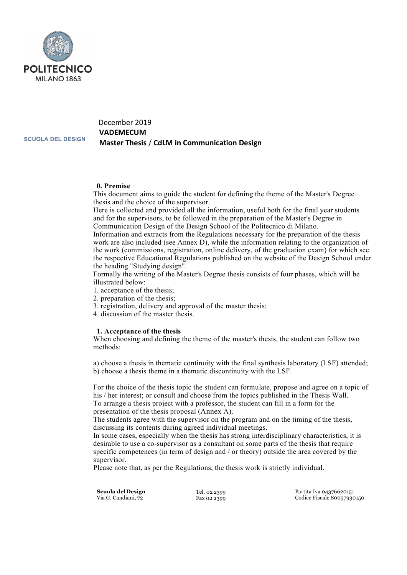

# December 2019 **VADEMECUM Master Thesis** / **CdLM in Communication Design**

**SCUOLA DEL DESIGN**

### **0. Premise**

This document aims to guide the student for defining the theme of the Master's Degree thesis and the choice of the supervisor.

Here is collected and provided all the information, useful both for the final year students and for the supervisors, to be followed in the preparation of the Master's Degree in Communication Design of the Design School of the Politecnico di Milano.

Information and extracts from the Regulations necessary for the preparation of the thesis work are also included (see Annex D), while the information relating to the organization of the work (commissions, registration, online delivery, of the graduation exam) for which see the respective Educational Regulations published on the website of the Design School under the heading "Studying design".

Formally the writing of the Master's Degree thesis consists of four phases, which will be illustrated below:

- 1. acceptance of the thesis;
- 2. preparation of the thesis;
- 3. registration, delivery and approval of the master thesis;
- 4. discussion of the master thesis.

### **1. Acceptance of the thesis**

When choosing and defining the theme of the master's thesis, the student can follow two methods:

a) choose a thesis in thematic continuity with the final synthesis laboratory (LSF) attended; b) choose a thesis theme in a thematic discontinuity with the LSF.

For the choice of the thesis topic the student can formulate, propose and agree on a topic of his / her interest; or consult and choose from the topics published in the Thesis Wall. To arrange a thesis project with a professor, the student can fill in a form for the presentation of the thesis proposal (Annex A).

The students agree with the supervisor on the program and on the timing of the thesis, discussing its contents during agreed individual meetings.

In some cases, especially when the thesis has strong interdisciplinary characteristics, it is desirable to use a co-supervisor as a consultant on some parts of the thesis that require specific competences (in term of design and / or theory) outside the area covered by the supervisor.

Please note that, as per the Regulations, the thesis work is strictly individual.

**Scuola delDesign** Via G. Candiani, 72

Tel. 02 2399 Fax 02 2399 Partita Iva 04376620151 Codice Fiscale 80057930150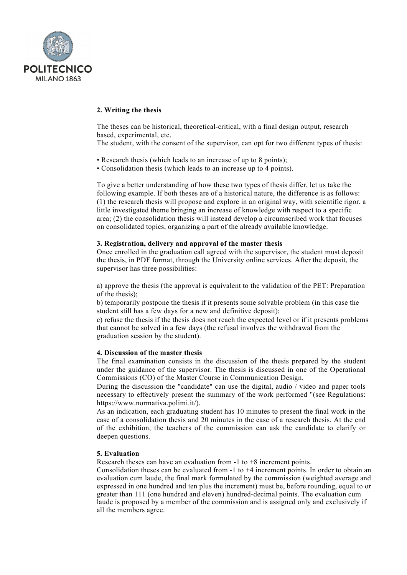

### **2. Writing the thesis**

The theses can be historical, theoretical-critical, with a final design output, research based, experimental, etc.

The student, with the consent of the supervisor, can opt for two different types of thesis:

- Research thesis (which leads to an increase of up to 8 points);
- Consolidation thesis (which leads to an increase up to 4 points).

To give a better understanding of how these two types of thesis differ, let us take the following example. If both theses are of a historical nature, the difference is as follows: (1) the research thesis will propose and explore in an original way, with scientific rigor, a little investigated theme bringing an increase of knowledge with respect to a specific area; (2) the consolidation thesis will instead develop a circumscribed work that focuses on consolidated topics, organizing a part of the already available knowledge.

### **3. Registration, delivery and approval of the master thesis**

Once enrolled in the graduation call agreed with the supervisor, the student must deposit the thesis, in PDF format, through the University online services. After the deposit, the supervisor has three possibilities:

a) approve the thesis (the approval is equivalent to the validation of the PET: Preparation of the thesis);

b) temporarily postpone the thesis if it presents some solvable problem (in this case the student still has a few days for a new and definitive deposit);

c) refuse the thesis if the thesis does not reach the expected level or if it presents problems that cannot be solved in a few days (the refusal involves the withdrawal from the graduation session by the student).

### **4. Discussion of the master thesis**

The final examination consists in the discussion of the thesis prepared by the student under the guidance of the supervisor. The thesis is discussed in one of the Operational Commissions (CO) of the Master Course in Communication Design.

During the discussion the "candidate" can use the digital, audio / video and paper tools necessary to effectively present the summary of the work performed "(see Regulations: https://www.normativa.polimi.it/).

As an indication, each graduating student has 10 minutes to present the final work in the case of a consolidation thesis and 20 minutes in the case of a research thesis. At the end of the exhibition, the teachers of the commission can ask the candidate to clarify or deepen questions.

### **5. Evaluation**

Research theses can have an evaluation from -1 to +8 increment points.

Consolidation theses can be evaluated from  $-1$  to  $+4$  increment points. In order to obtain an evaluation cum laude, the final mark formulated by the commission (weighted average and expressed in one hundred and ten plus the increment) must be, before rounding, equal to or greater than 111 (one hundred and eleven) hundred-decimal points. The evaluation cum laude is proposed by a member of the commission and is assigned only and exclusively if all the members agree.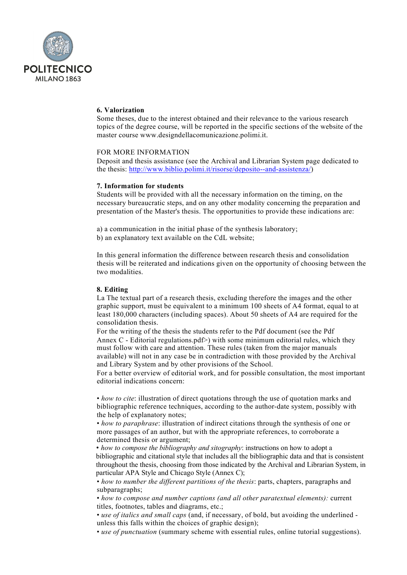

### **6. Valorization**

Some theses, due to the interest obtained and their relevance to the various research topics of the degree course, will be reported in the specific sections of the website of the master course www.designdellacomunicazione.polimi.it.

### FOR MORE INFORMATION

Deposit and thesis assistance (see the Archival and Librarian System page dedicated to the thesis: http://www.biblio.polimi.it/risorse/deposito-‐and-assistenza/)

### **7. Information for students**

Students will be provided with all the necessary information on the timing, on the necessary bureaucratic steps, and on any other modality concerning the preparation and presentation of the Master's thesis. The opportunities to provide these indications are:

a) a communication in the initial phase of the synthesis laboratory; b) an explanatory text available on the CdL website;

In this general information the difference between research thesis and consolidation thesis will be reiterated and indications given on the opportunity of choosing between the two modalities.

### **8. Editing**

La The textual part of a research thesis, excluding therefore the images and the other graphic support, must be equivalent to a minimum 100 sheets of A4 format, equal to at least 180,000 characters (including spaces). About 50 sheets of A4 are required for the consolidation thesis.

For the writing of the thesis the students refer to the Pdf document (see the Pdf Annex C - Editorial regulations.pdf>) with some minimum editorial rules, which they must follow with care and attention. These rules (taken from the major manuals available) will not in any case be in contradiction with those provided by the Archival and Library System and by other provisions of the School.

For a better overview of editorial work, and for possible consultation, the most important editorial indications concern:

• *how to cite*: illustration of direct quotations through the use of quotation marks and bibliographic reference techniques, according to the author-date system, possibly with the help of explanatory notes;

• *how to paraphrase*: illustration of indirect citations through the synthesis of one or more passages of an author, but with the appropriate references, to corroborate a determined thesis or argument;

• *how to compose the bibliography and sitography*: instructions on how to adopt a bibliographic and citational style that includes all the bibliographic data and that is consistent throughout the thesis, choosing from those indicated by the Archival and Librarian System, in particular APA Style and Chicago Style (Annex C);

• *how to number the different partitions of the thesis*: parts, chapters, paragraphs and subparagraphs;

• *how to compose and number captions (and all other paratextual elements):* current titles, footnotes, tables and diagrams, etc.;

• *use of italics and small caps* (and, if necessary, of bold, but avoiding the underlined unless this falls within the choices of graphic design);

• *use of punctuation* (summary scheme with essential rules, online tutorial suggestions).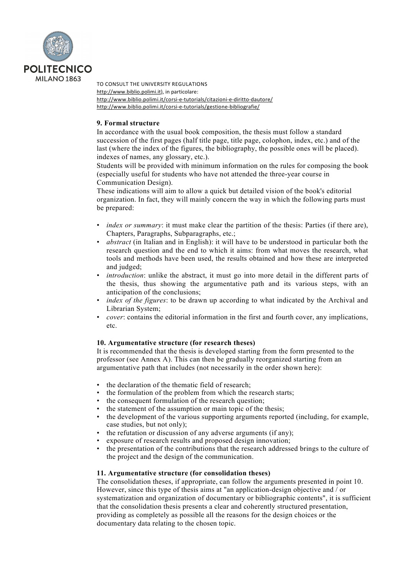

TO CONSULT THE UNIVERSITY REGULATIONS http://www.biblio.polimi.it), in particolare: http://www.biblio.polimi.it/corsi-e-tutorials/citazioni-e-diritto-dautore/ http://www.biblio.polimi.it/corsi-e-tutorials/gestione-bibliografie/

### **9. Formal structure**

In accordance with the usual book composition, the thesis must follow a standard succession of the first pages (half title page, title page, colophon, index, etc.) and of the last (where the index of the figures, the bibliography, the possible ones will be placed). indexes of names, any glossary, etc.).

Students will be provided with minimum information on the rules for composing the book (especially useful for students who have not attended the three-year course in Communication Design).

These indications will aim to allow a quick but detailed vision of the book's editorial organization. In fact, they will mainly concern the way in which the following parts must be prepared:

- *index or summary*: it must make clear the partition of the thesis: Parties (if there are), Chapters, Paragraphs, Subparagraphs, etc.;
- *abstract* (in Italian and in English): it will have to be understood in particular both the research question and the end to which it aims: from what moves the research, what tools and methods have been used, the results obtained and how these are interpreted and judged;
- *introduction*: unlike the abstract, it must go into more detail in the different parts of the thesis, thus showing the argumentative path and its various steps, with an anticipation of the conclusions;
- *index of the figures*: to be drawn up according to what indicated by the Archival and Librarian System;
- *cover*: contains the editorial information in the first and fourth cover, any implications, etc.

### **10. Argumentative structure (for research theses)**

It is recommended that the thesis is developed starting from the form presented to the professor (see Annex A). This can then be gradually reorganized starting from an argumentative path that includes (not necessarily in the order shown here):

- the declaration of the thematic field of research;
- the formulation of the problem from which the research starts;
- the consequent formulation of the research question;
- the statement of the assumption or main topic of the thesis;
- the development of the various supporting arguments reported (including, for example, case studies, but not only);
- the refutation or discussion of any adverse arguments (if any);
- exposure of research results and proposed design innovation;
- the presentation of the contributions that the research addressed brings to the culture of the project and the design of the communication.

### **11. Argumentative structure (for consolidation theses)**

The consolidation theses, if appropriate, can follow the arguments presented in point 10. However, since this type of thesis aims at "an application-design objective and  $\overline{\ }$  or systematization and organization of documentary or bibliographic contents", it is sufficient that the consolidation thesis presents a clear and coherently structured presentation, providing as completely as possible all the reasons for the design choices or the documentary data relating to the chosen topic.